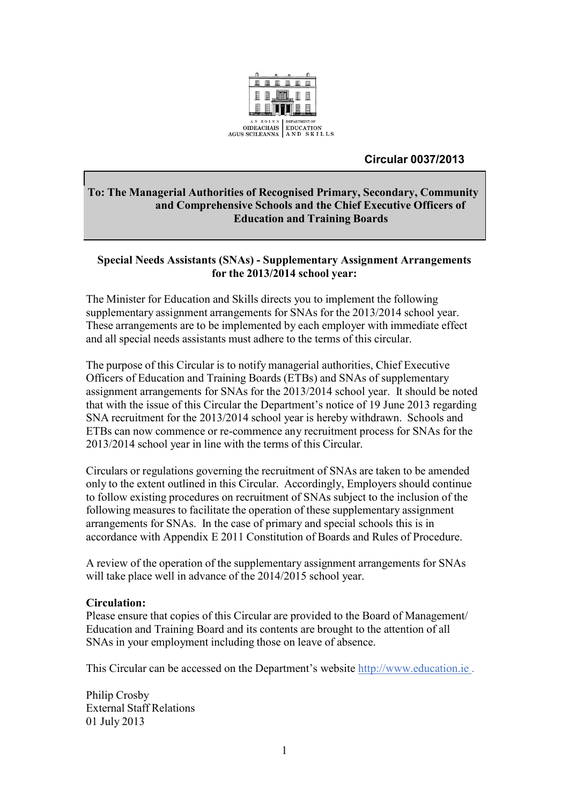

# **Circular 0037/2013**

# **To: The Managerial Authorities of Recognised Primary, Secondary, Community and Comprehensive Schools and the Chief Executive Officers of Education and Training Boards**

## **Special Needs Assistants (SNAs) - Supplementary Assignment Arrangements for the 2013/2014 school year:**

The Minister for Education and Skills directs you to implement the following supplementary assignment arrangements for SNAs for the 2013/2014 school year. These arrangements are to be implemented by each employer with immediate effect and all special needs assistants must adhere to the terms of this circular.

The purpose of this Circular is to notify managerial authorities, Chief Executive Officers of Education and Training Boards (ETBs) and SNAs of supplementary assignment arrangements for SNAs for the 2013/2014 school year. It should be noted that with the issue of this Circular the Department's notice of 19 June 2013 regarding SNA recruitment for the 2013/2014 school year is hereby withdrawn. Schools and ETBs can now commence or re-commence any recruitment process for SNAs for the 2013/2014 school year in line with the terms of this Circular.

Circulars or regulations governing the recruitment of SNAs are taken to be amended only to the extent outlined in this Circular. Accordingly, Employers should continue to follow existing procedures on recruitment of SNAs subject to the inclusion of the following measures to facilitate the operation of these supplementary assignment arrangements for SNAs. In the case of primary and special schools this is in accordance with Appendix E 2011 Constitution of Boards and Rules of Procedure.

A review of the operation of the supplementary assignment arrangements for SNAs will take place well in advance of the 2014/2015 school year.

### **Circulation:**

Please ensure that copies of this Circular are provided to the Board of Management/ Education and Training Board and its contents are brought to the attention of all SNAs in your employment including those on leave of absence.

This Circular can be accessed on the Department's website [http://www.education.ie](http://www.education.ie/) .

Philip Crosby External Staff Relations 01 July 2013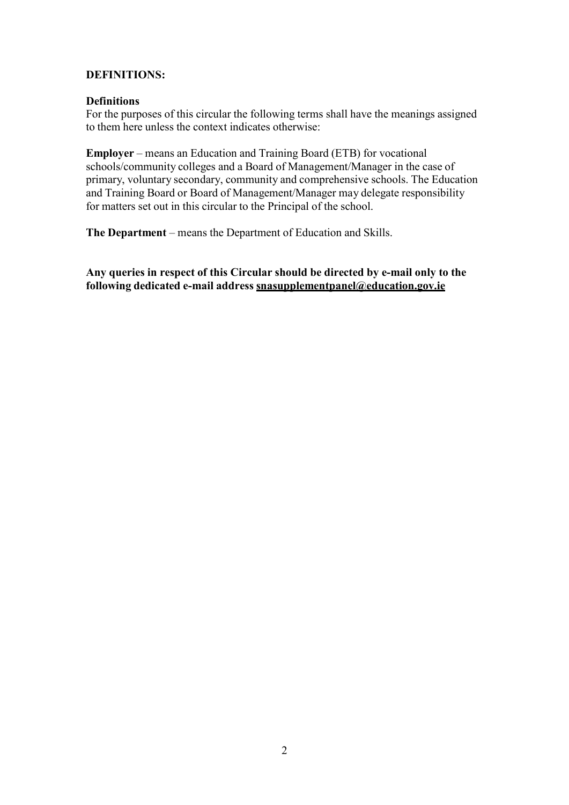# **DEFINITIONS:**

### **Definitions**

For the purposes of this circular the following terms shall have the meanings assigned to them here unless the context indicates otherwise:

**Employer** – means an Education and Training Board (ETB) for vocational schools/community colleges and a Board of Management/Manager in the case of primary, voluntary secondary, community and comprehensive schools. The Education and Training Board or Board of Management/Manager may delegate responsibility for matters set out in this circular to the Principal of the school.

**The Department** – means the Department of Education and Skills.

**Any queries in respect of this Circular should be directed by e-mail only to the following dedicated e-mail address [snasupplementpanel@education.gov.ie](mailto:snasupplementpanel@education.gov.ie)**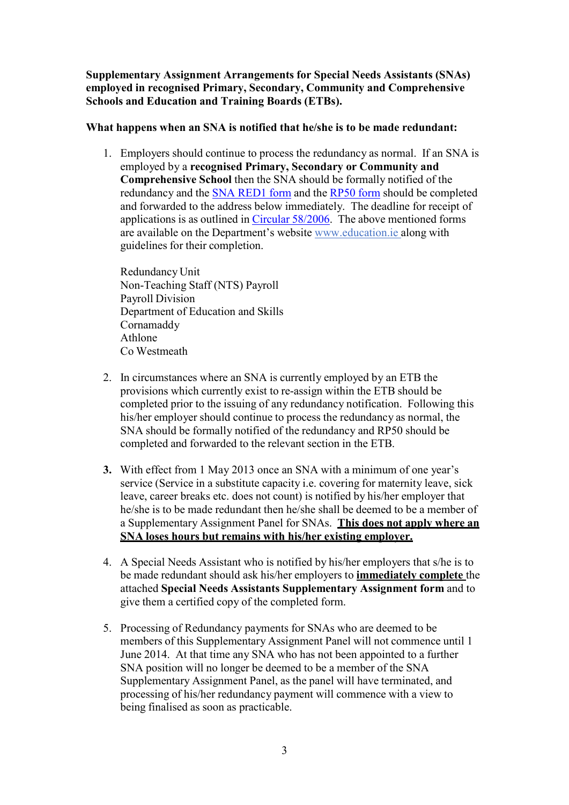**Supplementary Assignment Arrangements for Special Needs Assistants (SNAs) employed in recognised Primary, Secondary, Community and Comprehensive Schools and Education and Training Boards (ETBs).**

# **What happens when an SNA is notified that he/she is to be made redundant:**

1. Employers should continue to process the redundancy as normal. If an SNA is employed by a **recognised Primary, Secondary or Community and Comprehensive School** then the SNA should be formally notified of the redundancy and the SNA [RED1](http://www.education.ie/en/Education-Staff/Information/SNA-Redundancy/Circular-0058-2006-Form-SNA-Red1-to-accompany-Application-Form-for-Redundancy-RP50.pdf) form and the [RP50](http://www.education.ie/en/Education-Staff/Information/SNA-Redundancy/Circular-0058-2006-Appendix-1-Notification-of-Redundancy-Form-RP50-.pdf) form should be completed and forwarded to the address below immediately. The deadline for receipt of applications is as outlined in Circular [58/2006.](http://www.education.ie/en/Circulars-and-Forms/Active-Circulars/cl0058_2006.doc) The above mentioned forms are available on the Department's website [www.education.ie](http://www.education.ie/) along with guidelines for their completion.

Redundancy Unit Non-Teaching Staff (NTS) Payroll Payroll Division Department of Education and Skills Cornamaddy Athlone Co Westmeath

- 2. In circumstances where an SNA is currently employed by an ETB the provisions which currently exist to re-assign within the ETB should be completed prior to the issuing of any redundancy notification. Following this his/her employer should continue to process the redundancy as normal, the SNA should be formally notified of the redundancy and RP50 should be completed and forwarded to the relevant section in the ETB.
- **3.** With effect from 1 May 2013 once an SNA with a minimum of one year's service (Service in a substitute capacity i.e. covering for maternity leave, sick leave, career breaks etc. does not count) is notified by his/her employer that he/she is to be made redundant then he/she shall be deemed to be a member of a Supplementary Assignment Panel for SNAs. **This does not apply where an SNA loses hours but remains with his/her existing employer.**
- 4. A Special Needs Assistant who is notified by his/her employers that s/he is to be made redundant should ask his/her employers to **immediately complete** the attached **Special Needs Assistants Supplementary Assignment form** and to give them a certified copy of the completed form.
- 5. Processing of Redundancy payments for SNAs who are deemed to be members of this Supplementary Assignment Panel will not commence until 1 June 2014. At that time any SNA who has not been appointed to a further SNA position will no longer be deemed to be a member of the SNA Supplementary Assignment Panel, as the panel will have terminated, and processing of his/her redundancy payment will commence with a view to being finalised as soon as practicable.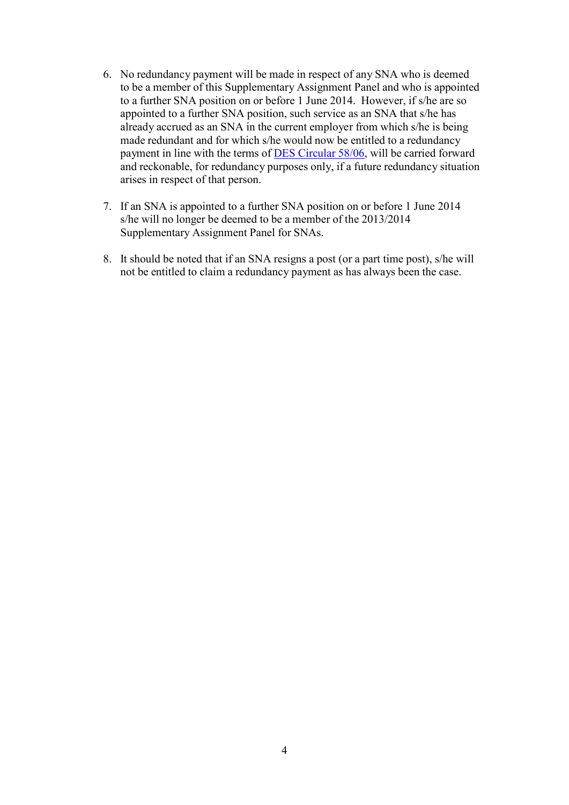- 6. No redundancy payment will be made in respect of any SNA who is deemed to be a member of this Supplementary Assignment Panel and who is appointed to a further SNA position on or before 1 June 2014. However, if s/he are so appointed to a further SNA position, such service as an SNA that s/he has already accrued as an SNA in the current employer from which s/he is being made redundant and for which s/he would now be entitled to a redundancy payment in line with the terms of DES [Circular](http://www.education.ie/en/Circulars-and-Forms/Active-Circulars/cl0058_2006.doc) 58/06, will be carried forward and reckonable, for redundancy purposes only, if a future redundancy situation arises in respect of that person.
- 7. If an SNA is appointed to a further SNA position on or before 1 June 2014 s/he will no longer be deemed to be a member of the 2013/2014 Supplementary Assignment Panel for SNAs.
- 8. It should be noted that if an SNA resigns a post (or a part time post), s/he will not be entitled to claim a redundancy payment as has always been the case.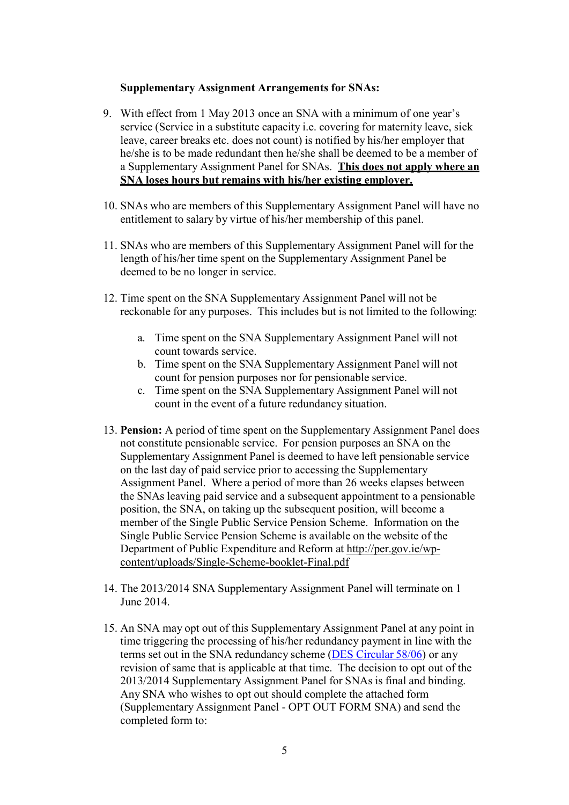### **Supplementary Assignment Arrangements for SNAs:**

- 9. With effect from 1 May 2013 once an SNA with a minimum of one year's service (Service in a substitute capacity i.e. covering for maternity leave, sick leave, career breaks etc. does not count) is notified by his/her employer that he/she is to be made redundant then he/she shall be deemed to be a member of a Supplementary Assignment Panel for SNAs. **This does not apply where an SNA loses hours but remains with his/her existing employer.**
- 10. SNAs who are members of this Supplementary Assignment Panel will have no entitlement to salary by virtue of his/her membership of this panel.
- 11. SNAs who are members of this Supplementary Assignment Panel will for the length of his/her time spent on the Supplementary Assignment Panel be deemed to be no longer in service.
- 12. Time spent on the SNA Supplementary Assignment Panel will not be reckonable for any purposes. This includes but is not limited to the following:
	- a. Time spent on the SNA Supplementary Assignment Panel will not count towards service.
	- b. Time spent on the SNA Supplementary Assignment Panel will not count for pension purposes nor for pensionable service.
	- c. Time spent on the SNA Supplementary Assignment Panel will not count in the event of a future redundancy situation.
- 13. **Pension:** A period of time spent on the Supplementary Assignment Panel does not constitute pensionable service. For pension purposes an SNA on the Supplementary Assignment Panel is deemed to have left pensionable service on the last day of paid service prior to accessing the Supplementary Assignment Panel. Where a period of more than 26 weeks elapses between the SNAs leaving paid service and a subsequent appointment to a pensionable position, the SNA, on taking up the subsequent position, will become a member of the Single Public Service Pension Scheme. Information on the Single Public Service Pension Scheme is available on the website of the Department of Public Expenditure and Reform at [http://per.gov.ie/wp](http://per.gov.ie/wp-content/uploads/Single-Scheme-booklet-Final.pdf)[content/uploads/Single-Scheme-booklet-Final.pdf](http://per.gov.ie/wp-content/uploads/Single-Scheme-booklet-Final.pdf)
- 14. The 2013/2014 SNA Supplementary Assignment Panel will terminate on 1 June 2014.
- 15. An SNA may opt out of this Supplementary Assignment Panel at any point in time triggering the processing of his/her redundancy payment in line with the terms set out in the SNA redundancy scheme (DES [Circular](http://www.education.ie/en/Circulars-and-Forms/Active-Circulars/cl0058_2006.doc) 58/06) or any revision of same that is applicable at that time. The decision to opt out of the 2013/2014 Supplementary Assignment Panel for SNAs is final and binding. Any SNA who wishes to opt out should complete the attached form (Supplementary Assignment Panel - OPT OUT FORM SNA) and send the completed form to: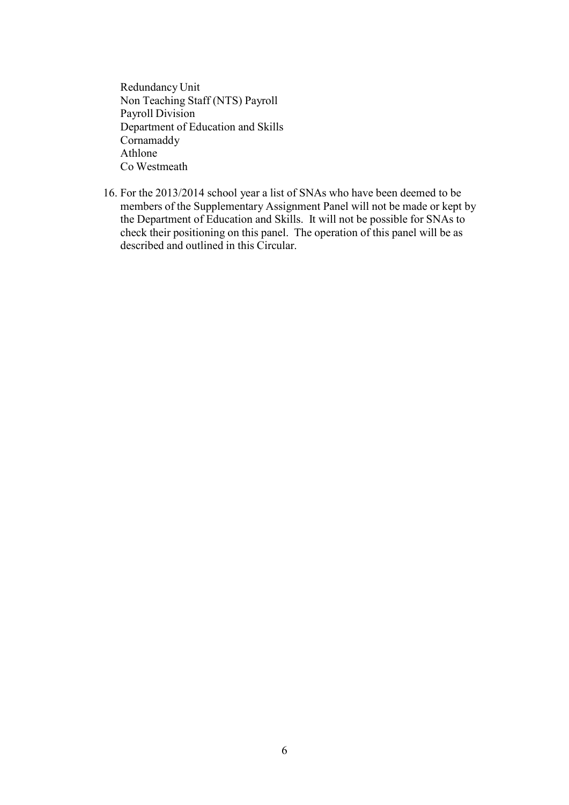Redundancy Unit Non Teaching Staff (NTS) Payroll Payroll Division Department of Education and Skills Cornamaddy Athlone Co Westmeath

16. For the 2013/2014 school year a list of SNAs who have been deemed to be members of the Supplementary Assignment Panel will not be made or kept by the Department of Education and Skills. It will not be possible for SNAs to check their positioning on this panel. The operation of this panel will be as described and outlined in this Circular.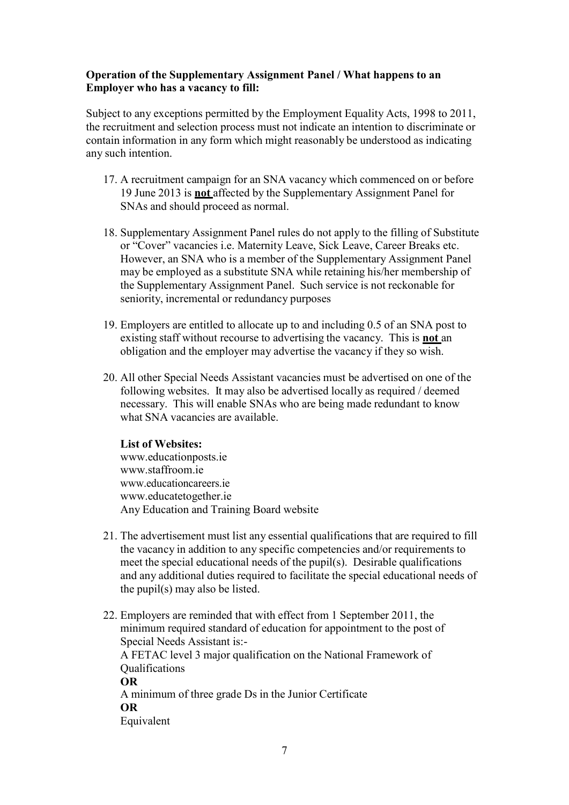# **Operation of the Supplementary Assignment Panel / What happens to an Employer who has a vacancy to fill:**

Subject to any exceptions permitted by the Employment Equality Acts, 1998 to 2011, the recruitment and selection process must not indicate an intention to discriminate or contain information in any form which might reasonably be understood as indicating any such intention.

- 17. A recruitment campaign for an SNA vacancy which commenced on or before 19 June 2013 is **not** affected by the Supplementary Assignment Panel for SNAs and should proceed as normal.
- 18. Supplementary Assignment Panel rules do not apply to the filling of Substitute or "Cover" vacancies i.e. Maternity Leave, Sick Leave, Career Breaks etc. However, an SNA who is a member of the Supplementary Assignment Panel may be employed as a substitute SNA while retaining his/her membership of the Supplementary Assignment Panel. Such service is not reckonable for seniority, incremental or redundancy purposes
- 19. Employers are entitled to allocate up to and including 0.5 of an SNA post to existing staff without recourse to advertising the vacancy. This is **not** an obligation and the employer may advertise the vacancy if they so wish.
- 20. All other Special Needs Assistant vacancies must be advertised on one of the following websites. It may also be advertised locally as required / deemed necessary. This will enable SNAs who are being made redundant to know what SNA vacancies are available.

### **List of Websites:**

[www.educationposts.ie](http://www.educationposts.ie/) www.staffroom.je [www.educationcareers.ie](http://www.educationcareers.ie/) [www.educatetogether.ie](http://www.educatetogether.ie/) Any Education and Training Board website

- 21. The advertisement must list any essential qualifications that are required to fill the vacancy in addition to any specific competencies and/or requirements to meet the special educational needs of the pupil(s). Desirable qualifications and any additional duties required to facilitate the special educational needs of the pupil(s) may also be listed.
- 22. Employers are reminded that with effect from 1 September 2011, the minimum required standard of education for appointment to the post of Special Needs Assistant is:- A FETAC level 3 major qualification on the National Framework of **Qualifications OR** A minimum of three grade Ds in the Junior Certificate **OR** Equivalent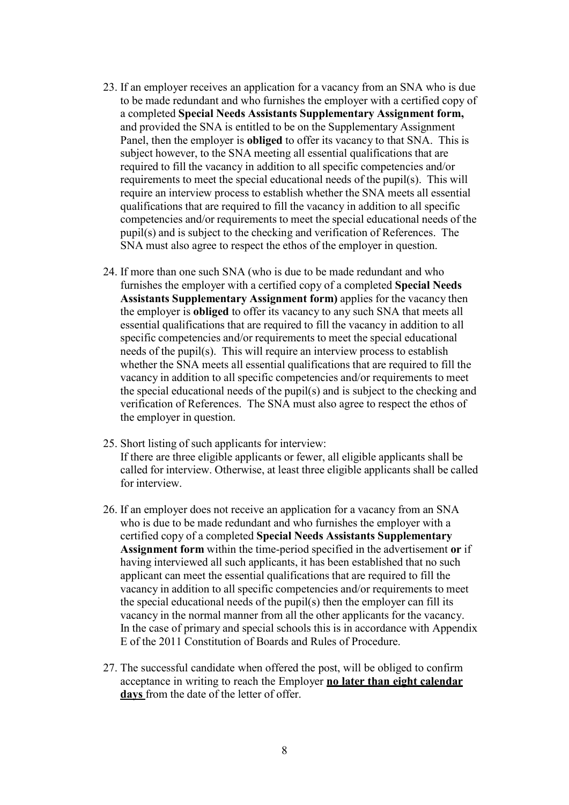- 23. If an employer receives an application for a vacancy from an SNA who is due to be made redundant and who furnishes the employer with a certified copy of a completed **Special Needs Assistants Supplementary Assignment form,**  and provided the SNA is entitled to be on the Supplementary Assignment Panel, then the employer is **obliged** to offer its vacancy to that SNA. This is subject however, to the SNA meeting all essential qualifications that are required to fill the vacancy in addition to all specific competencies and/or requirements to meet the special educational needs of the pupil(s). This will require an interview process to establish whether the SNA meets all essential qualifications that are required to fill the vacancy in addition to all specific competencies and/or requirements to meet the special educational needs of the pupil(s) and is subject to the checking and verification of References. The SNA must also agree to respect the ethos of the employer in question.
- 24. If more than one such SNA (who is due to be made redundant and who furnishes the employer with a certified copy of a completed **Special Needs Assistants Supplementary Assignment form)** applies for the vacancy then the employer is **obliged** to offer its vacancy to any such SNA that meets all essential qualifications that are required to fill the vacancy in addition to all specific competencies and/or requirements to meet the special educational needs of the pupil(s). This will require an interview process to establish whether the SNA meets all essential qualifications that are required to fill the vacancy in addition to all specific competencies and/or requirements to meet the special educational needs of the pupil(s) and is subject to the checking and verification of References. The SNA must also agree to respect the ethos of the employer in question.
- 25. Short listing of such applicants for interview: If there are three eligible applicants or fewer, all eligible applicants shall be called for interview. Otherwise, at least three eligible applicants shall be called for interview.
- 26. If an employer does not receive an application for a vacancy from an SNA who is due to be made redundant and who furnishes the employer with a certified copy of a completed **Special Needs Assistants Supplementary Assignment form** within the time-period specified in the advertisement **or** if having interviewed all such applicants, it has been established that no such applicant can meet the essential qualifications that are required to fill the vacancy in addition to all specific competencies and/or requirements to meet the special educational needs of the pupil(s) then the employer can fill its vacancy in the normal manner from all the other applicants for the vacancy. In the case of primary and special schools this is in accordance with Appendix E of the 2011 Constitution of Boards and Rules of Procedure.
- 27. The successful candidate when offered the post, will be obliged to confirm acceptance in writing to reach the Employer **no later than eight calendar days** from the date of the letter of offer.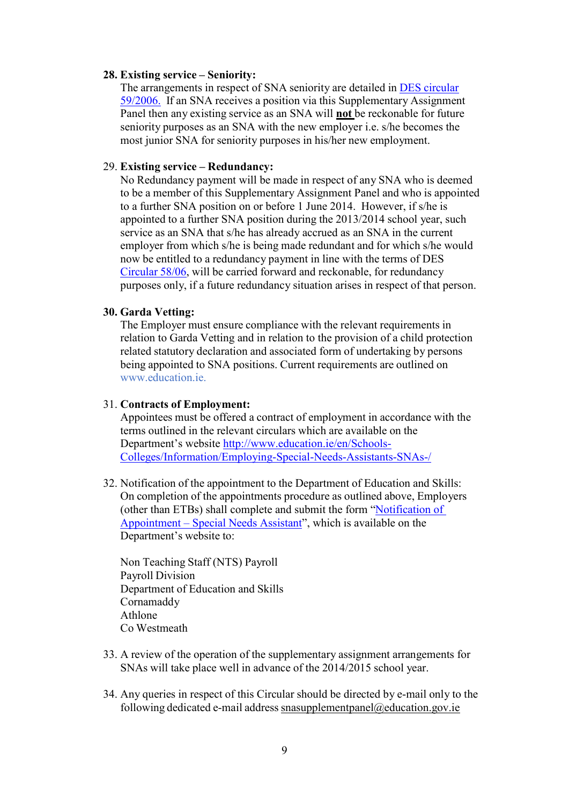#### **28. Existing service – Seniority:**

The arrangements in respect of SNA seniority are detailed in DES [circular](http://www.education.ie/en/Circulars-and-Forms/Active-Circulars/cl0059_2006.doc) [59/2006.](http://www.education.ie/en/Circulars-and-Forms/Active-Circulars/cl0059_2006.doc) If an SNA receives a position via this Supplementary Assignment Panel then any existing service as an SNA will **not** be reckonable for future seniority purposes as an SNA with the new employer i.e. s/he becomes the most junior SNA for seniority purposes in his/her new employment.

### 29. **Existing service – Redundancy:**

No Redundancy payment will be made in respect of any SNA who is deemed to be a member of this Supplementary Assignment Panel and who is appointed to a further SNA position on or before 1 June 2014. However, if s/he is appointed to a further SNA position during the 2013/2014 school year, such service as an SNA that s/he has already accrued as an SNA in the current employer from which s/he is being made redundant and for which s/he would now be entitled to a redundancy payment in line with the terms of DES [Circular](http://www.education.ie/en/Circulars-and-Forms/Active-Circulars/cl0058_2006.doc) 58/06, will be carried forward and reckonable, for redundancy purposes only, if a future redundancy situation arises in respect of that person.

# **30. Garda Vetting:**

The Employer must ensure compliance with the relevant requirements in relation to Garda Vetting and in relation to the provision of a child protection related statutory declaration and associated form of undertaking by persons being appointed to SNA positions. Current requirements are outlined on [www.education.ie.](http://www.education.ie/)

#### 31. **Contracts of Employment:**

Appointees must be offered a contract of employment in accordance with the terms outlined in the relevant circulars which are available on the Department's website [http://www.education.ie/en/Schools-](http://www.education.ie/en/Schools-Colleges/Information/Employing-Special-Needs-Assistants-SNAs-/)[Colleges/Information/Employing-Special-Needs-Assistants-SNAs-/](http://www.education.ie/en/Schools-Colleges/Information/Employing-Special-Needs-Assistants-SNAs-/)

32. Notification of the appointment to the Department of Education and Skills: On completion of the appointments procedure as outlined above, Employers (other than ETBs) shall complete and submit the form "[Notification of](http://www.education.ie/en/Education-Staff/Services/Appointment-Forms/Special-Needs-Assistant-Appointment-Form-School-Year-2013-14.pdf)  [Appointment](http://www.education.ie/en/Education-Staff/Services/Appointment-Forms/Special-Needs-Assistant-Appointment-Form-School-Year-2013-14.pdf) – Special Needs Assistant", which is available on the Department's website to:

Non Teaching Staff (NTS) Payroll Payroll Division Department of Education and Skills Cornamaddy Athlone Co Westmeath

- 33. A review of the operation of the supplementary assignment arrangements for SNAs will take place well in advance of the 2014/2015 school year.
- 34. Any queries in respect of this Circular should be directed by e-mail only to the following dedicated e-mail address [snasupplementpanel@education.gov.ie](mailto:snasupplementpanel@education.gov.ie)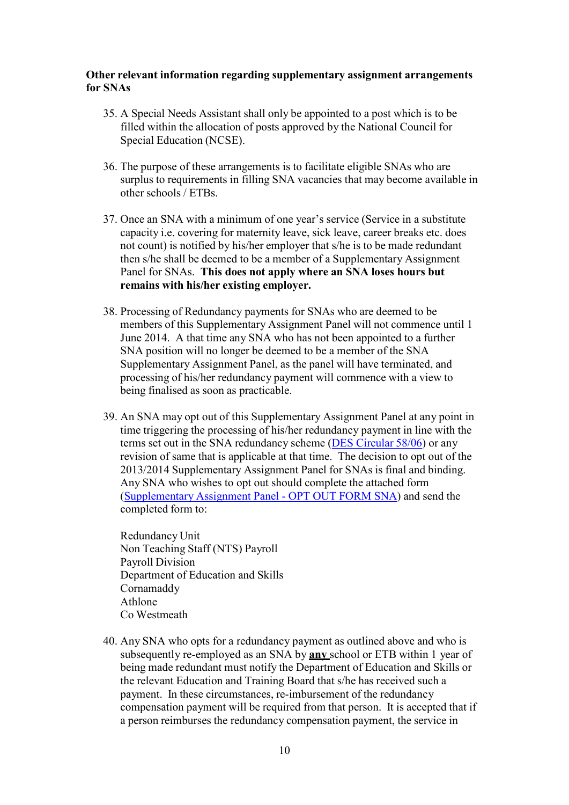### **Other relevant information regarding supplementary assignment arrangements for SNAs**

- 35. A Special Needs Assistant shall only be appointed to a post which is to be filled within the allocation of posts approved by the National Council for Special Education (NCSE).
- 36. The purpose of these arrangements is to facilitate eligible SNAs who are surplus to requirements in filling SNA vacancies that may become available in other schools / ETBs.
- 37. Once an SNA with a minimum of one year's service (Service in a substitute capacity i.e. covering for maternity leave, sick leave, career breaks etc. does not count) is notified by his/her employer that s/he is to be made redundant then s/he shall be deemed to be a member of a Supplementary Assignment Panel for SNAs. **This does not apply where an SNA loses hours but remains with his/her existing employer.**
- 38. Processing of Redundancy payments for SNAs who are deemed to be members of this Supplementary Assignment Panel will not commence until 1 June 2014. A that time any SNA who has not been appointed to a further SNA position will no longer be deemed to be a member of the SNA Supplementary Assignment Panel, as the panel will have terminated, and processing of his/her redundancy payment will commence with a view to being finalised as soon as practicable.
- 39. An SNA may opt out of this Supplementary Assignment Panel at any point in time triggering the processing of his/her redundancy payment in line with the terms set out in the SNA redundancy scheme (DES [Circular](http://www.education.ie/en/Circulars-and-Forms/Active-Circulars/cl0058_2006.doc) 58/06) or any revision of same that is applicable at that time. The decision to opt out of the 2013/2014 Supplementary Assignment Panel for SNAs is final and binding. Any SNA who wishes to opt out should complete the attached form [\(Supplementary](#page-13-0) Assignment Panel - OPT OUT FORM SNA) and send the completed form to:

Redundancy Unit Non Teaching Staff (NTS) Payroll Payroll Division Department of Education and Skills Cornamaddy Athlone Co Westmeath

40. Any SNA who opts for a redundancy payment as outlined above and who is subsequently re-employed as an SNA by **any** school or ETB within 1 year of being made redundant must notify the Department of Education and Skills or the relevant Education and Training Board that s/he has received such a payment. In these circumstances, re-imbursement of the redundancy compensation payment will be required from that person. It is accepted that if a person reimburses the redundancy compensation payment, the service in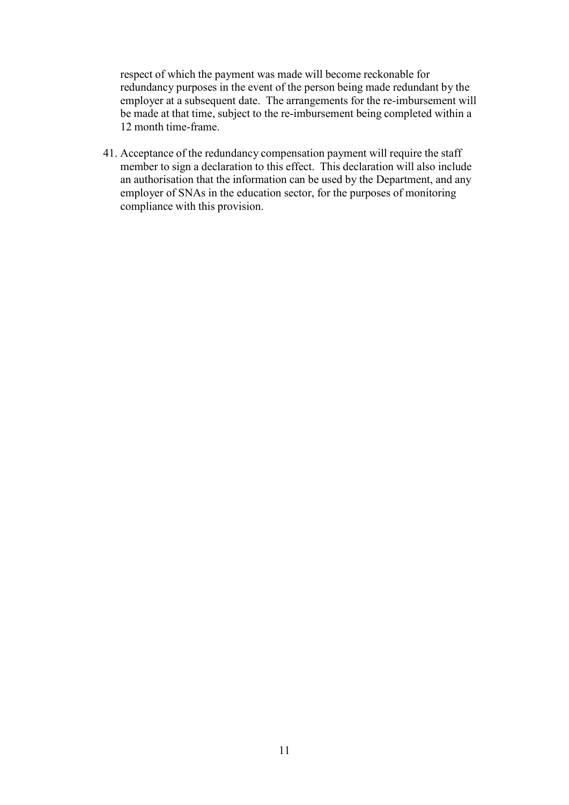respect of which the payment was made will become reckonable for redundancy purposes in the event of the person being made redundant by the employer at a subsequent date. The arrangements for the re-imbursement will be made at that time, subject to the re-imbursement being completed within a 12 month time-frame.

41. Acceptance of the redundancy compensation payment will require the staff member to sign a declaration to this effect. This declaration will also include an authorisation that the information can be used by the Department, and any employer of SNAs in the education sector, for the purposes of monitoring compliance with this provision.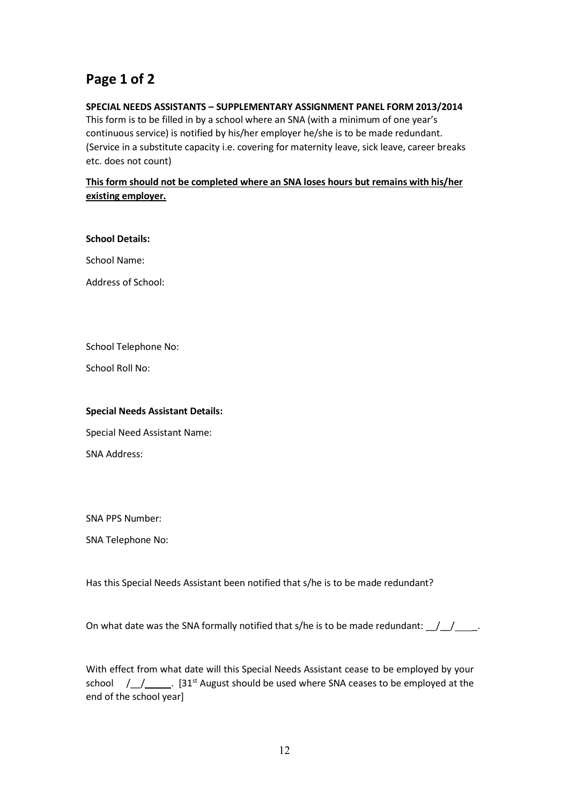# **Page 1 of 2**

### **SPECIAL NEEDS ASSISTANTS – SUPPLEMENTARY ASSIGNMENT PANEL FORM 2013/2014**

This form is to be filled in by a school where an SNA (with a minimum of one year's continuous service) is notified by his/her employer he/she is to be made redundant. (Service in a substitute capacity i.e. covering for maternity leave, sick leave, career breaks etc. does not count)

## **This form should not be completed where an SNA loses hours but remains with his/her existing employer.**

#### **School Details:**

School Name:

Address of School:

School Telephone No:

School Roll No:

### **Special Needs Assistant Details:**

Special Need Assistant Name:

SNA Address:

SNA PPS Number:

SNA Telephone No:

Has this Special Needs Assistant been notified that s/he is to be made redundant?

On what date was the SNA formally notified that s/he is to be made redundant:  $\frac{1}{2}$ 

With effect from what date will this Special Needs Assistant cease to be employed by your school  $/$   $/$   $\_\_$ . [31<sup>st</sup> August should be used where SNA ceases to be employed at the end of the school year]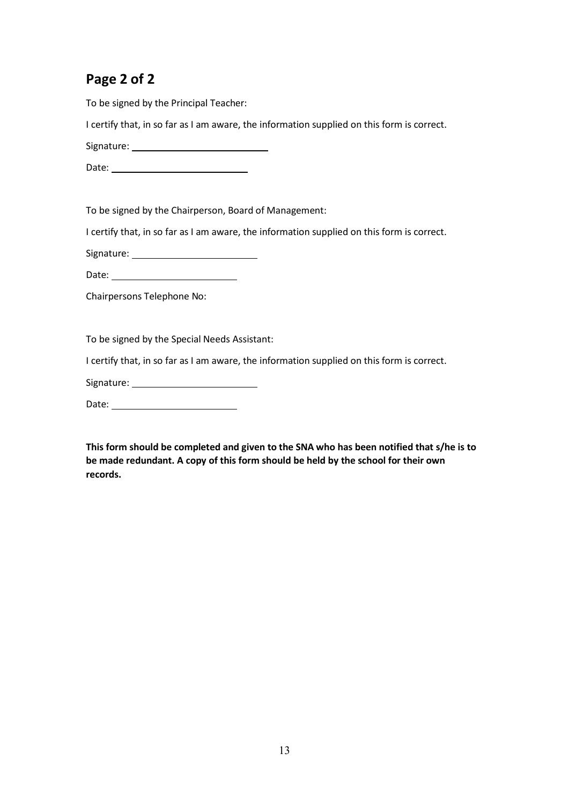# **Page 2 of 2**

To be signed by the Principal Teacher:

I certify that, in so far as I am aware, the information supplied on this form is correct.

Signature:

Date: 2008 2012 2022 2023 2024 2022 2022 2023 2024 2022 2023 2024 2022 2023 2024 2022 2023 2024 2025 2026 2027

To be signed by the Chairperson, Board of Management:

I certify that, in so far as I am aware, the information supplied on this form is correct.

Signature:

Date:

Chairpersons Telephone No:

To be signed by the Special Needs Assistant:

I certify that, in so far as I am aware, the information supplied on this form is correct.

Signature:

Date:

**This form should be completed and given to the SNA who has been notified that s/he is to be made redundant. A copy of this form should be held by the school for their own records.**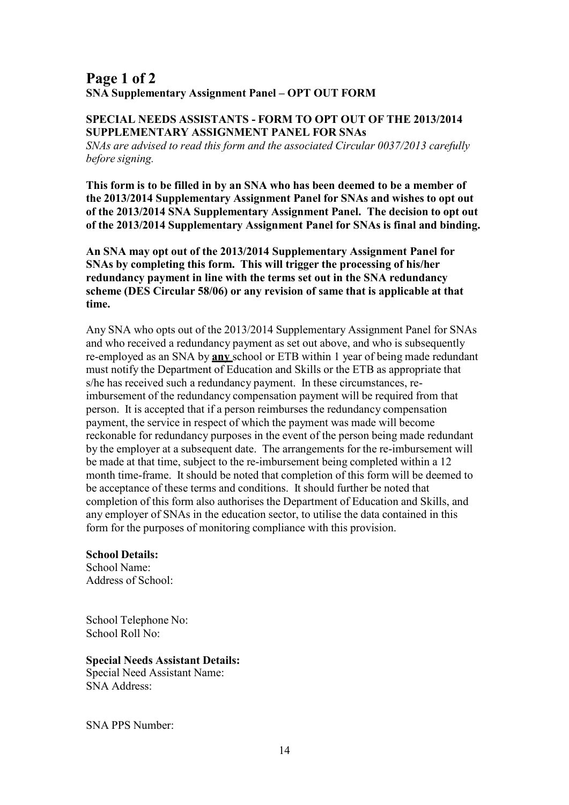# <span id="page-13-0"></span>**Page 1 of 2 SNA Supplementary Assignment Panel – OPT OUT FORM**

### **SPECIAL NEEDS ASSISTANTS - FORM TO OPT OUT OF THE 2013/2014 SUPPLEMENTARY ASSIGNMENT PANEL FOR SNAs**

*SNAs are advised to read this form and the associated Circular 0037/2013 carefully before signing.*

**This form is to be filled in by an SNA who has been deemed to be a member of the 2013/2014 Supplementary Assignment Panel for SNAs and wishes to opt out of the 2013/2014 SNA Supplementary Assignment Panel. The decision to opt out of the 2013/2014 Supplementary Assignment Panel for SNAs is final and binding.**

**An SNA may opt out of the 2013/2014 Supplementary Assignment Panel for SNAs by completing this form. This will trigger the processing of his/her redundancy payment in line with the terms set out in the SNA redundancy scheme (DES Circular 58/06) or any revision of same that is applicable at that time.**

Any SNA who opts out of the 2013/2014 Supplementary Assignment Panel for SNAs and who received a redundancy payment as set out above, and who is subsequently re-employed as an SNA by **any** school or ETB within 1 year of being made redundant must notify the Department of Education and Skills or the ETB as appropriate that s/he has received such a redundancy payment. In these circumstances, reimbursement of the redundancy compensation payment will be required from that person. It is accepted that if a person reimburses the redundancy compensation payment, the service in respect of which the payment was made will become reckonable for redundancy purposes in the event of the person being made redundant by the employer at a subsequent date. The arrangements for the re-imbursement will be made at that time, subject to the re-imbursement being completed within a 12 month time-frame. It should be noted that completion of this form will be deemed to be acceptance of these terms and conditions. It should further be noted that completion of this form also authorises the Department of Education and Skills, and any employer of SNAs in the education sector, to utilise the data contained in this form for the purposes of monitoring compliance with this provision.

### **School Details:**

School Name: Address of School:

School Telephone No: School Roll No:

### **Special Needs Assistant Details:**

Special Need Assistant Name: SNA Address:

SNA PPS Number: